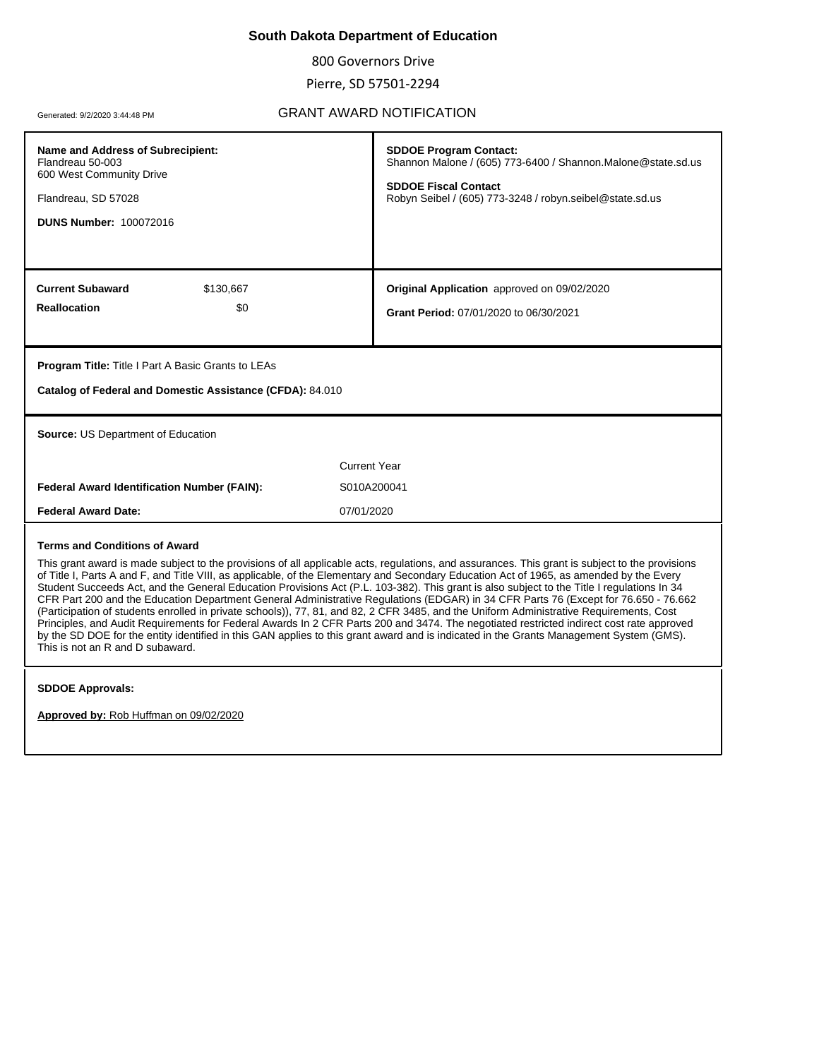# **South Dakota Department of Education**

800 Governors Drive

Pierre, SD 57501-2294

# Generated: 9/2/2020 3:44:48 PM GRANT AWARD NOTIFICATION

| Name and Address of Subrecipient:<br>Flandreau 50-003<br>600 West Community Drive<br>Flandreau, SD 57028<br><b>DUNS Number: 100072016</b>                                                                                                                                                                                                                                                                                                                                                                                                                                                                                                                                                                                                                                                                                                                                                                                                                                                                                                                                                      | <b>SDDOE Program Contact:</b><br>Shannon Malone / (605) 773-6400 / Shannon.Malone@state.sd.us<br><b>SDDOE Fiscal Contact</b><br>Robyn Seibel / (605) 773-3248 / robyn.seibel@state.sd.us |  |
|------------------------------------------------------------------------------------------------------------------------------------------------------------------------------------------------------------------------------------------------------------------------------------------------------------------------------------------------------------------------------------------------------------------------------------------------------------------------------------------------------------------------------------------------------------------------------------------------------------------------------------------------------------------------------------------------------------------------------------------------------------------------------------------------------------------------------------------------------------------------------------------------------------------------------------------------------------------------------------------------------------------------------------------------------------------------------------------------|------------------------------------------------------------------------------------------------------------------------------------------------------------------------------------------|--|
| <b>Current Subaward</b><br>\$130,667                                                                                                                                                                                                                                                                                                                                                                                                                                                                                                                                                                                                                                                                                                                                                                                                                                                                                                                                                                                                                                                           | Original Application approved on 09/02/2020                                                                                                                                              |  |
| <b>Reallocation</b><br>\$0                                                                                                                                                                                                                                                                                                                                                                                                                                                                                                                                                                                                                                                                                                                                                                                                                                                                                                                                                                                                                                                                     | Grant Period: 07/01/2020 to 06/30/2021                                                                                                                                                   |  |
| <b>Program Title: Title I Part A Basic Grants to LEAs</b>                                                                                                                                                                                                                                                                                                                                                                                                                                                                                                                                                                                                                                                                                                                                                                                                                                                                                                                                                                                                                                      |                                                                                                                                                                                          |  |
| Catalog of Federal and Domestic Assistance (CFDA): 84.010                                                                                                                                                                                                                                                                                                                                                                                                                                                                                                                                                                                                                                                                                                                                                                                                                                                                                                                                                                                                                                      |                                                                                                                                                                                          |  |
| Source: US Department of Education                                                                                                                                                                                                                                                                                                                                                                                                                                                                                                                                                                                                                                                                                                                                                                                                                                                                                                                                                                                                                                                             |                                                                                                                                                                                          |  |
| <b>Current Year</b>                                                                                                                                                                                                                                                                                                                                                                                                                                                                                                                                                                                                                                                                                                                                                                                                                                                                                                                                                                                                                                                                            |                                                                                                                                                                                          |  |
| <b>Federal Award Identification Number (FAIN):</b>                                                                                                                                                                                                                                                                                                                                                                                                                                                                                                                                                                                                                                                                                                                                                                                                                                                                                                                                                                                                                                             | S010A200041                                                                                                                                                                              |  |
| <b>Federal Award Date:</b><br>07/01/2020                                                                                                                                                                                                                                                                                                                                                                                                                                                                                                                                                                                                                                                                                                                                                                                                                                                                                                                                                                                                                                                       |                                                                                                                                                                                          |  |
| <b>Terms and Conditions of Award</b><br>This grant award is made subject to the provisions of all applicable acts, regulations, and assurances. This grant is subject to the provisions<br>of Title I, Parts A and F, and Title VIII, as applicable, of the Elementary and Secondary Education Act of 1965, as amended by the Every<br>Student Succeeds Act, and the General Education Provisions Act (P.L. 103-382). This grant is also subject to the Title I regulations In 34<br>CFR Part 200 and the Education Department General Administrative Regulations (EDGAR) in 34 CFR Parts 76 (Except for 76.650 - 76.662<br>(Participation of students enrolled in private schools)), 77, 81, and 82, 2 CFR 3485, and the Uniform Administrative Requirements, Cost<br>Principles, and Audit Requirements for Federal Awards In 2 CFR Parts 200 and 3474. The negotiated restricted indirect cost rate approved<br>by the SD DOE for the entity identified in this GAN applies to this grant award and is indicated in the Grants Management System (GMS).<br>This is not an R and D subaward. |                                                                                                                                                                                          |  |

#### **SDDOE Approvals:**

**Approved by:** Rob Huffman on 09/02/2020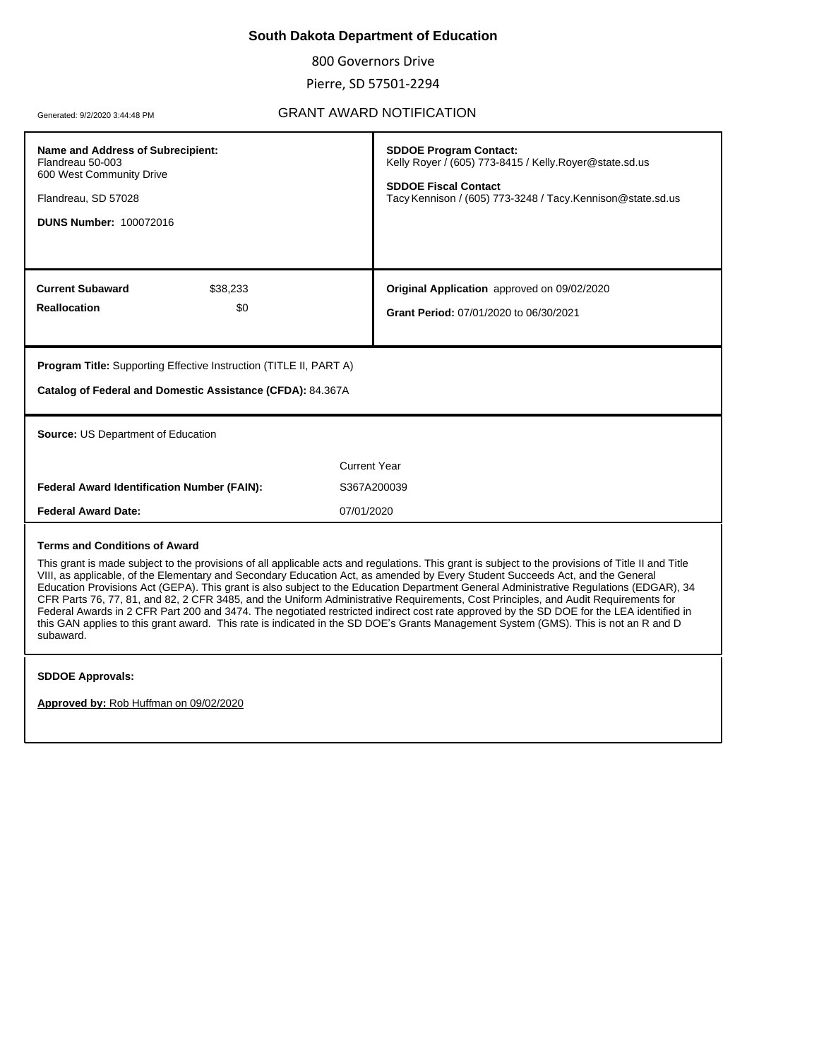# **South Dakota Department of Education**

800 Governors Drive

Pierre, SD 57501-2294

# Generated: 9/2/2020 3:44:48 PM GRANT AWARD NOTIFICATION

| Name and Address of Subrecipient:<br>Flandreau 50-003<br>600 West Community Drive<br>Flandreau, SD 57028<br><b>DUNS Number: 100072016</b> | <b>SDDOE Program Contact:</b><br>Kelly Royer / (605) 773-8415 / Kelly.Royer@state.sd.us<br><b>SDDOE Fiscal Contact</b><br>Tacy Kennison / (605) 773-3248 / Tacy. Kennison@state.sd.us                                                                                                                                                                                                                                                                                                                                                                                                                                                                                                                                                                                                                                                                  |  |
|-------------------------------------------------------------------------------------------------------------------------------------------|--------------------------------------------------------------------------------------------------------------------------------------------------------------------------------------------------------------------------------------------------------------------------------------------------------------------------------------------------------------------------------------------------------------------------------------------------------------------------------------------------------------------------------------------------------------------------------------------------------------------------------------------------------------------------------------------------------------------------------------------------------------------------------------------------------------------------------------------------------|--|
| <b>Current Subaward</b><br>\$38,233<br><b>Reallocation</b><br>\$0                                                                         | Original Application approved on 09/02/2020<br>Grant Period: 07/01/2020 to 06/30/2021                                                                                                                                                                                                                                                                                                                                                                                                                                                                                                                                                                                                                                                                                                                                                                  |  |
| <b>Program Title:</b> Supporting Effective Instruction (TITLE II, PART A)<br>Catalog of Federal and Domestic Assistance (CFDA): 84.367A   |                                                                                                                                                                                                                                                                                                                                                                                                                                                                                                                                                                                                                                                                                                                                                                                                                                                        |  |
| Source: US Department of Education                                                                                                        |                                                                                                                                                                                                                                                                                                                                                                                                                                                                                                                                                                                                                                                                                                                                                                                                                                                        |  |
|                                                                                                                                           | <b>Current Year</b>                                                                                                                                                                                                                                                                                                                                                                                                                                                                                                                                                                                                                                                                                                                                                                                                                                    |  |
|                                                                                                                                           |                                                                                                                                                                                                                                                                                                                                                                                                                                                                                                                                                                                                                                                                                                                                                                                                                                                        |  |
| <b>Federal Award Identification Number (FAIN):</b>                                                                                        | S367A200039                                                                                                                                                                                                                                                                                                                                                                                                                                                                                                                                                                                                                                                                                                                                                                                                                                            |  |
| <b>Federal Award Date:</b>                                                                                                                | 07/01/2020                                                                                                                                                                                                                                                                                                                                                                                                                                                                                                                                                                                                                                                                                                                                                                                                                                             |  |
| <b>Terms and Conditions of Award</b><br>subaward.                                                                                         | This grant is made subject to the provisions of all applicable acts and regulations. This grant is subject to the provisions of Title II and Title<br>VIII, as applicable, of the Elementary and Secondary Education Act, as amended by Every Student Succeeds Act, and the General<br>Education Provisions Act (GEPA). This grant is also subject to the Education Department General Administrative Regulations (EDGAR), 34<br>CFR Parts 76, 77, 81, and 82, 2 CFR 3485, and the Uniform Administrative Requirements, Cost Principles, and Audit Requirements for<br>Federal Awards in 2 CFR Part 200 and 3474. The negotiated restricted indirect cost rate approved by the SD DOE for the LEA identified in<br>this GAN applies to this grant award. This rate is indicated in the SD DOE's Grants Management System (GMS). This is not an R and D |  |

**Approved by:** Rob Huffman on 09/02/2020